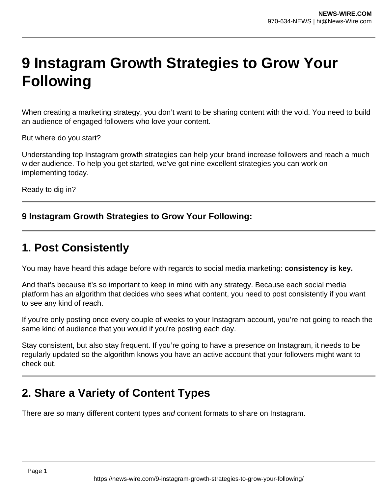# **9 Instagram Growth Strategies to Grow Your Following**

When creating a marketing strategy, you don't want to be sharing content with the void. You need to build an audience of engaged followers who love your content.

But where do you start?

Understanding top Instagram growth strategies can help your brand increase followers and reach a much wider audience. To help you get started, we've got nine excellent strategies you can work on implementing today.

Ready to dig in?

### **9 Instagram Growth Strategies to Grow Your Following:**

# **1. Post Consistently**

You may have heard this adage before with regards to social media marketing: **consistency is key.**

And that's because it's so important to keep in mind with any strategy. Because each social media platform has an algorithm that decides who sees what content, you need to post consistently if you want to see any kind of reach.

If you're only posting once every couple of weeks to your Instagram account, you're not going to reach the same kind of audience that you would if you're posting each day.

Stay consistent, but also stay frequent. If you're going to have a presence on Instagram, it needs to be regularly updated so the algorithm knows you have an active account that your followers might want to check out.

# **2. Share a Variety of Content Types**

There are so many different content types and content formats to share on Instagram.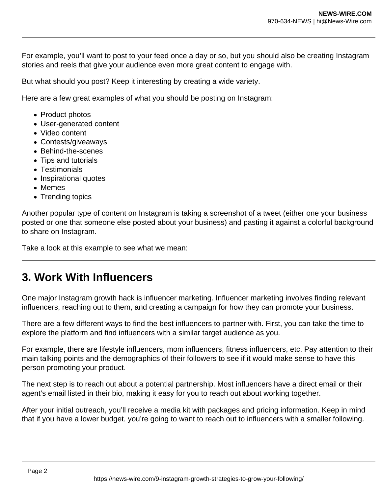For example, you'll want to post to your feed once a day or so, but you should also be creating Instagram stories and reels that give your audience even more great content to engage with.

But what should you post? Keep it interesting by creating a wide variety.

Here are a few great examples of what you should be posting on Instagram:

- Product photos
- User-generated content
- Video content
- Contests/giveaways
- Behind-the-scenes
- Tips and tutorials
- Testimonials
- Inspirational quotes
- Memes
- Trending topics

Another popular type of content on Instagram is taking a screenshot of a tweet (either one your business posted or one that someone else posted about your business) and pasting it against a colorful background to share on Instagram.

Take a look at this example to see what we mean:

# **3. Work With Influencers**

One major Instagram growth hack is influencer marketing. Influencer marketing involves finding relevant influencers, reaching out to them, and creating a campaign for how they can promote your business.

There are a few different ways to find the best influencers to partner with. First, you can take the time to explore the platform and find influencers with a similar target audience as you.

For example, there are lifestyle influencers, mom influencers, fitness influencers, etc. Pay attention to their main talking points and the demographics of their followers to see if it would make sense to have this person promoting your product.

The next step is to reach out about a potential partnership. Most influencers have a direct email or their agent's email listed in their bio, making it easy for you to reach out about working together.

After your initial outreach, you'll receive a media kit with packages and pricing information. Keep in mind that if you have a lower budget, you're going to want to reach out to influencers with a smaller following.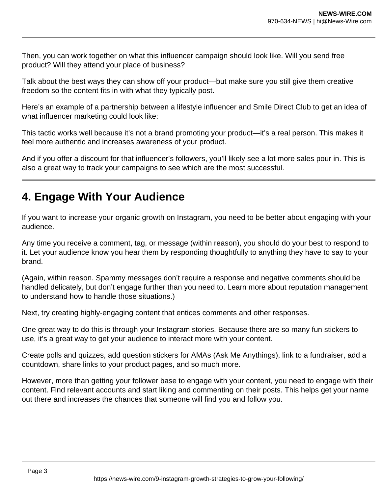Then, you can work together on what this influencer campaign should look like. Will you send free product? Will they attend your place of business?

Talk about the best ways they can show off your product—but make sure you still give them creative freedom so the content fits in with what they typically post.

Here's an example of a partnership between a lifestyle influencer and Smile Direct Club to get an idea of what influencer marketing could look like:

This tactic works well because it's not a brand promoting your product—it's a real person. This makes it feel more authentic and increases awareness of your product.

And if you offer a discount for that influencer's followers, you'll likely see a lot more sales pour in. This is also a great way to track your campaigns to see which are the most successful.

# **4. Engage With Your Audience**

If you want to increase your organic growth on Instagram, you need to be better about engaging with your audience.

Any time you receive a comment, tag, or message (within reason), you should do your best to respond to it. Let your audience know you hear them by responding thoughtfully to anything they have to say to your brand.

(Again, within reason. Spammy messages don't require a response and negative comments should be handled delicately, but don't engage further than you need to. Learn more about reputation management to understand how to handle those situations.)

Next, try creating highly-engaging content that entices comments and other responses.

One great way to do this is through your Instagram stories. Because there are so many fun stickers to use, it's a great way to get your audience to interact more with your content.

Create polls and quizzes, add question stickers for AMAs (Ask Me Anythings), link to a fundraiser, add a countdown, share links to your product pages, and so much more.

However, more than getting your follower base to engage with your content, you need to engage with their content. Find relevant accounts and start liking and commenting on their posts. This helps get your name out there and increases the chances that someone will find you and follow you.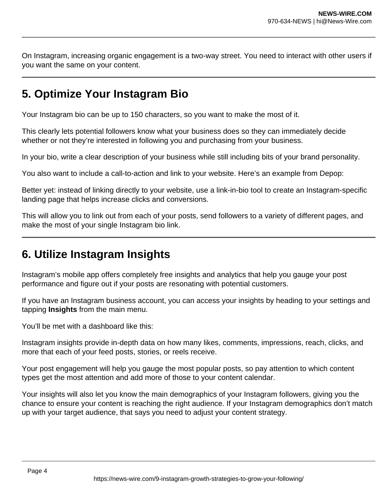On Instagram, increasing organic engagement is a two-way street. You need to interact with other users if you want the same on your content.

# **5. Optimize Your Instagram Bio**

Your Instagram bio can be up to 150 characters, so you want to make the most of it.

This clearly lets potential followers know what your business does so they can immediately decide whether or not they're interested in following you and purchasing from your business.

In your bio, write a clear description of your business while still including bits of your brand personality.

You also want to include a call-to-action and link to your website. Here's an example from Depop:

Better yet: instead of linking directly to your website, use a link-in-bio tool to create an Instagram-specific landing page that helps increase clicks and conversions.

This will allow you to link out from each of your posts, send followers to a variety of different pages, and make the most of your single Instagram bio link.

# **6. Utilize Instagram Insights**

Instagram's mobile app offers completely free insights and analytics that help you gauge your post performance and figure out if your posts are resonating with potential customers.

If you have an Instagram business account, you can access your insights by heading to your settings and tapping **Insights** from the main menu.

You'll be met with a dashboard like this:

Instagram insights provide in-depth data on how many likes, comments, impressions, reach, clicks, and more that each of your feed posts, stories, or reels receive.

Your post engagement will help you gauge the most popular posts, so pay attention to which content types get the most attention and add more of those to your content calendar.

Your insights will also let you know the main demographics of your Instagram followers, giving you the chance to ensure your content is reaching the right audience. If your Instagram demographics don't match up with your target audience, that says you need to adjust your content strategy.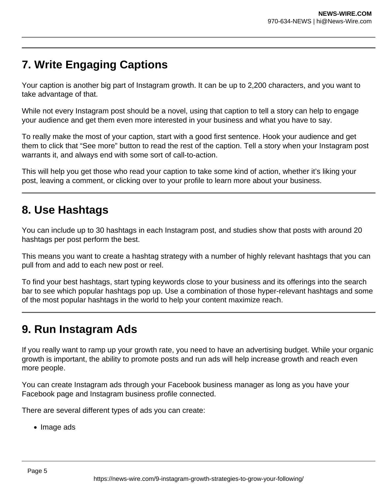# **7. Write Engaging Captions**

Your caption is another big part of Instagram growth. It can be up to 2,200 characters, and you want to take advantage of that.

While not every Instagram post should be a novel, using that caption to tell a story can help to engage your audience and get them even more interested in your business and what you have to say.

To really make the most of your caption, start with a good first sentence. Hook your audience and get them to click that "See more" button to read the rest of the caption. Tell a story when your Instagram post warrants it, and always end with some sort of call-to-action.

This will help you get those who read your caption to take some kind of action, whether it's liking your post, leaving a comment, or clicking over to your profile to learn more about your business.

### **8. Use Hashtags**

You can include up to 30 hashtags in each Instagram post, and studies show that posts with around 20 hashtags per post perform the best.

This means you want to create a hashtag strategy with a number of highly relevant hashtags that you can pull from and add to each new post or reel.

To find your best hashtags, start typing keywords close to your business and its offerings into the search bar to see which popular hashtags pop up. Use a combination of those hyper-relevant hashtags and some of the most popular hashtags in the world to help your content maximize reach.

# **9. Run Instagram Ads**

If you really want to ramp up your growth rate, you need to have an advertising budget. While your organic growth is important, the ability to promote posts and run ads will help increase growth and reach even more people.

You can create Instagram ads through your Facebook business manager as long as you have your Facebook page and Instagram business profile connected.

There are several different types of ads you can create:

• Image ads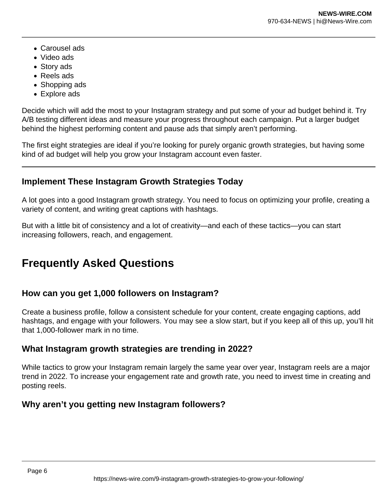- Carousel ads
- Video ads
- Story ads
- Reels ads
- Shopping ads
- Explore ads

Decide which will add the most to your Instagram strategy and put some of your ad budget behind it. Try A/B testing different ideas and measure your progress throughout each campaign. Put a larger budget behind the highest performing content and pause ads that simply aren't performing.

The first eight strategies are ideal if you're looking for purely organic growth strategies, but having some kind of ad budget will help you grow your Instagram account even faster.

### **Implement These Instagram Growth Strategies Today**

A lot goes into a good Instagram growth strategy. You need to focus on optimizing your profile, creating a variety of content, and writing great captions with hashtags.

But with a little bit of consistency and a lot of creativity—and each of these tactics—you can start increasing followers, reach, and engagement.

# **Frequently Asked Questions**

### **How can you get 1,000 followers on Instagram?**

Create a business profile, follow a consistent schedule for your content, create engaging captions, add hashtags, and engage with your followers. You may see a slow start, but if you keep all of this up, you'll hit that 1,000-follower mark in no time.

### **What Instagram growth strategies are trending in 2022?**

While tactics to grow your Instagram remain largely the same year over year, Instagram reels are a major trend in 2022. To increase your engagement rate and growth rate, you need to invest time in creating and posting reels.

### **Why aren't you getting new Instagram followers?**